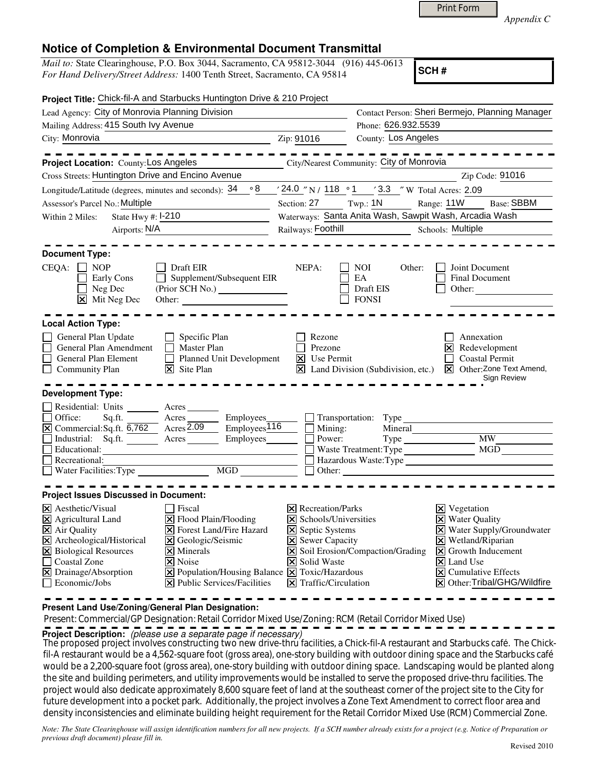| <b>Print Form</b> |  |
|-------------------|--|
|-------------------|--|

*Appendix C* 

## **Notice of Completion & Environmental Document Transmittal**

*Mail to:* State Clearinghouse, P.O. Box 3044, Sacramento, CA 95812-3044 (916) 445-0613 *For Hand Delivery/Street Address:* 1400 Tenth Street, Sacramento, CA 95814

**SCH #**

| Project Title: Chick-fil-A and Starbucks Huntington Drive & 210 Project                                                                                                                                                                                    |                         |                                                                                                                                                                                                                                          |                                                       |                                                                                                                                                                                              |                                                     |                                                                                              |                                                                                                                                                                                                                          |  |  |
|------------------------------------------------------------------------------------------------------------------------------------------------------------------------------------------------------------------------------------------------------------|-------------------------|------------------------------------------------------------------------------------------------------------------------------------------------------------------------------------------------------------------------------------------|-------------------------------------------------------|----------------------------------------------------------------------------------------------------------------------------------------------------------------------------------------------|-----------------------------------------------------|----------------------------------------------------------------------------------------------|--------------------------------------------------------------------------------------------------------------------------------------------------------------------------------------------------------------------------|--|--|
| Lead Agency: City of Monrovia Planning Division                                                                                                                                                                                                            |                         |                                                                                                                                                                                                                                          |                                                       |                                                                                                                                                                                              |                                                     | Contact Person: Sheri Bermejo, Planning Manager                                              |                                                                                                                                                                                                                          |  |  |
| Mailing Address: 415 South Ivy Avenue                                                                                                                                                                                                                      |                         |                                                                                                                                                                                                                                          |                                                       |                                                                                                                                                                                              |                                                     | Phone: 626.932.5539                                                                          |                                                                                                                                                                                                                          |  |  |
| City: Monrovia                                                                                                                                                                                                                                             |                         | <u> 1980 - Jan Barbara Barbara, manazarta </u>                                                                                                                                                                                           |                                                       | Zip: 91016                                                                                                                                                                                   |                                                     | County: Los Angeles                                                                          |                                                                                                                                                                                                                          |  |  |
| Project Location: County: Los Angeles                                                                                                                                                                                                                      |                         |                                                                                                                                                                                                                                          | City/Nearest Community: City of Monrovia              |                                                                                                                                                                                              |                                                     |                                                                                              |                                                                                                                                                                                                                          |  |  |
| Cross Streets: Huntington Drive and Encino Avenue                                                                                                                                                                                                          |                         |                                                                                                                                                                                                                                          |                                                       |                                                                                                                                                                                              |                                                     |                                                                                              | Zip Code: 91016                                                                                                                                                                                                          |  |  |
| Longitude/Latitude (degrees, minutes and seconds): $34 \cdot 8$                                                                                                                                                                                            |                         |                                                                                                                                                                                                                                          |                                                       |                                                                                                                                                                                              |                                                     | $\frac{1}{24.0}$ $\frac{1}{N}$ / 118 $\degree$ 1 $\degree$ 3.3 $\degree$ W Total Acres: 2.09 |                                                                                                                                                                                                                          |  |  |
| Assessor's Parcel No.: Multiple                                                                                                                                                                                                                            |                         |                                                                                                                                                                                                                                          |                                                       |                                                                                                                                                                                              | Section: $27$ Twp.: $1N$                            | Range: 11W                                                                                   | <b>Base: SBBM</b>                                                                                                                                                                                                        |  |  |
| Within 2 Miles:                                                                                                                                                                                                                                            | State Hwy $#$ : $ -210$ |                                                                                                                                                                                                                                          |                                                       | Waterways: Santa Anita Wash, Sawpit Wash, Arcadia Wash                                                                                                                                       |                                                     |                                                                                              |                                                                                                                                                                                                                          |  |  |
|                                                                                                                                                                                                                                                            | Airports: N/A           | <u> 1989 - John Stein, mars and de Brande</u>                                                                                                                                                                                            |                                                       | Railways: Foothill Schools: Multiple                                                                                                                                                         |                                                     |                                                                                              |                                                                                                                                                                                                                          |  |  |
| <b>Document Type:</b><br>CEQA:<br><b>NOP</b><br>Early Cons<br>Neg Dec<br>X Mit Neg Dec                                                                                                                                                                     | $\Box$                  | Draft EIR<br>Other:                                                                                                                                                                                                                      | Supplement/Subsequent EIR                             | NEPA:                                                                                                                                                                                        | <b>NOI</b><br>EA<br>Draft EIS<br><b>FONSI</b>       | Other:<br>Other:                                                                             | Joint Document<br><b>Final Document</b>                                                                                                                                                                                  |  |  |
| <b>Local Action Type:</b>                                                                                                                                                                                                                                  |                         |                                                                                                                                                                                                                                          |                                                       |                                                                                                                                                                                              |                                                     |                                                                                              |                                                                                                                                                                                                                          |  |  |
| General Plan Update<br>General Plan Amendment<br>General Plan Element<br>Community Plan                                                                                                                                                                    |                         | $\Box$ Specific Plan<br>Master Plan<br>$\perp$<br>Planned Unit Development<br>$ \mathsf{X} $ Site Plan                                                                                                                                   |                                                       | Rezone<br>Prezone<br>$\vert \mathsf{X} \vert$ Use Permit                                                                                                                                     |                                                     |                                                                                              | Annexation<br>Redevelopment<br>Coastal Permit<br>$\boxed{\mathsf{X}}$ Land Division (Subdivision, etc.) $\boxed{\mathsf{X}}$ Other: Zone Text Amend,<br>Sign Review                                                      |  |  |
| <b>Development Type:</b><br>Residential: Units _______ Acres<br>Office:<br>$\overline{X}$ Commercial: Sq.ft. $\overline{6,762}$ Acres 2.09<br>Industrial: Sq.ft. <u>Acres</u><br>Educational:<br>Recreational:<br>Water Facilities: Type MGD               | Sq.ft.                  | Acres                                                                                                                                                                                                                                    | Employees___<br>Employees <sup>116</sup><br>Employees | $\blacksquare$ Mining:<br>Power:                                                                                                                                                             | $\Box$ Transportation: Type $\Box$<br>$\Box$ Other: | Mineral<br>Type<br>Waste Treatment: Type<br>Hazardous Waste:Type                             | MW<br>MGD                                                                                                                                                                                                                |  |  |
|                                                                                                                                                                                                                                                            |                         |                                                                                                                                                                                                                                          |                                                       |                                                                                                                                                                                              |                                                     |                                                                                              |                                                                                                                                                                                                                          |  |  |
| <b>Project Issues Discussed in Document:</b><br>$ \mathsf{X} $ Aesthetic/Visual<br>$\boxtimes$ Agricultural Land<br>X Air Quality<br>X Archeological/Historical<br>X Biological Resources<br>Coastal Zone<br>X Drainage/Absorption<br>$\Box$ Economic/Jobs |                         | □ Fiscal<br>$\Xi$ Flood Plain/Flooding<br><b>X</b> Forest Land/Fire Hazard<br>X Geologic/Seismic<br>$\overline{\mathsf{x}}$ Minerals<br>X Noise<br>X Population/Housing Balance X Toxic/Hazardous<br><b>X</b> Public Services/Facilities |                                                       | <b>X</b> Recreation/Parks<br>$\triangleright$ Schools/Universities<br><b>X</b> Septic Systems<br><b>X</b> Sewer Capacity<br><b>X</b> Solid Waste<br>$\boxed{\mathsf{X}}$ Traffic/Circulation | X Soil Erosion/Compaction/Grading                   | $\boxtimes$ Vegetation<br>$\overline{\mathsf{x}}$ Land Use                                   | <b>X</b> Water Quality<br>X Water Supply/Groundwater<br>$\boxtimes$ Wetland/Riparian<br>$\vert\mathbf{X}\vert$ Growth Inducement<br>$\vert\overline{\mathsf{x}}\vert$ Cumulative Effects<br>X Other: Tribal/GHG/Wildfire |  |  |

**Present Land Use/Zoning/General Plan Designation:**

Present: Commercial/GP Designation: Retail Corridor Mixed Use/Zoning: RCM (Retail Corridor Mixed Use)

**Project Description:** (please use a separate page if necessary)

The proposed project involves constructing two new drive-thru facilities, a Chick-fil-A restaurant and Starbucks café. The Chick-<br>5. A restaurant would be a 4.5% conservation (conserved) and stars hall linear its catalogue fil-A restaurant would be a 4,562-square foot (gross area), one-story building with outdoor dining space and the Starbucks café would be a 2,200-square foot (gross area), one-story building with outdoor dining space. Landscaping would be planted along the site and building perimeters, and utility improvements would be installed to serve the proposed drive-thru facilities. The project would also dedicate approximately 8,600 square feet of land at the southeast corner of the project site to the City for future development into a pocket park. Additionally, the project involves a Zone Text Amendment to correct floor area and density inconsistencies and eliminate building height requirement for the Retail Corridor Mixed Use (RCM) Commercial Zone.

*Note: The State Clearinghouse will assign identification numbers for all new projects. If a SCH number already exists for a project (e.g. Notice of Preparation or previous draft document) please fill in.*